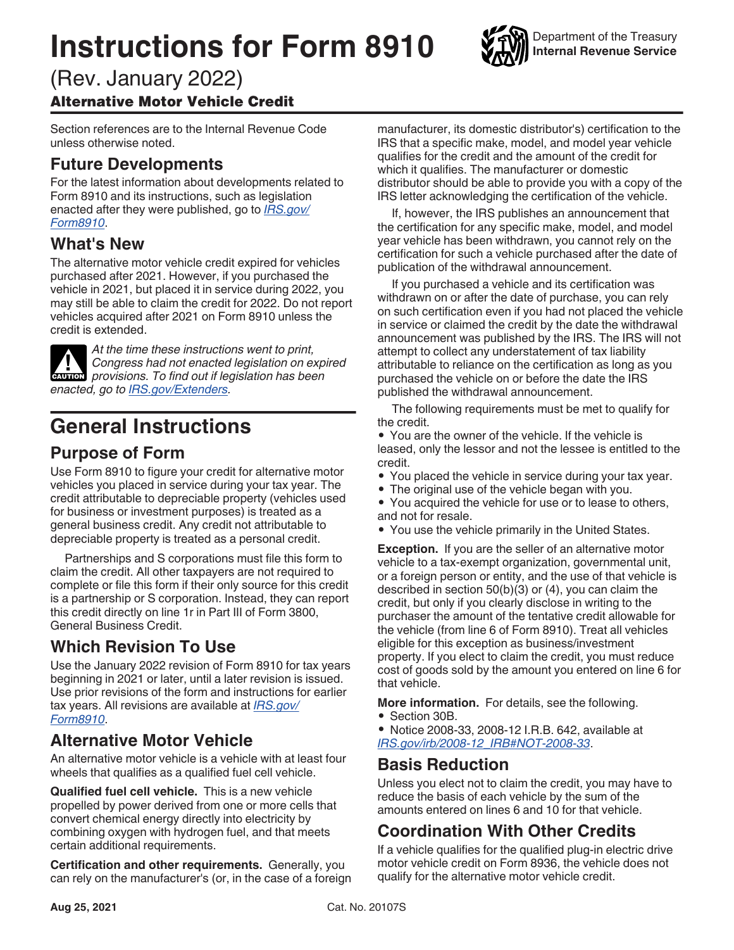# **Instructions for Form 8910**



Department of the Treasury **Internal Revenue Service**

#### (Rev. January 2022) Alternative Motor Vehicle Credit

Section references are to the Internal Revenue Code unless otherwise noted.

## **Future Developments**

For the latest information about developments related to Form 8910 and its instructions, such as legislation enacted after they were published, go to *[IRS.gov/](https://www.irs.gov/form8910) [Form8910](https://www.irs.gov/form8910)*.

#### **What's New**

The alternative motor vehicle credit expired for vehicles purchased after 2021. However, if you purchased the vehicle in 2021, but placed it in service during 2022, you may still be able to claim the credit for 2022. Do not report vehicles acquired after 2021 on Form 8910 unless the credit is extended.

*At the time these instructions went to print, Congress had not enacted legislation on expired*  **Provisions.** To find out if legislation on explorer provisions. To find out if legislation has been *enacted, go to [IRS.gov/Extenders](https://www.irs.gov/extenders).*

# **General Instructions**

#### **Purpose of Form**

Use Form 8910 to figure your credit for alternative motor vehicles you placed in service during your tax year. The credit attributable to depreciable property (vehicles used for business or investment purposes) is treated as a general business credit. Any credit not attributable to depreciable property is treated as a personal credit.

Partnerships and S corporations must file this form to claim the credit. All other taxpayers are not required to complete or file this form if their only source for this credit is a partnership or S corporation. Instead, they can report this credit directly on line 1r in Part III of Form 3800, General Business Credit.

## **Which Revision To Use**

Use the January 2022 revision of Form 8910 for tax years beginning in 2021 or later, until a later revision is issued. Use prior revisions of the form and instructions for earlier tax years. All revisions are available at *[IRS.gov/](https://www.irs.gov/Form8910) [Form8910](https://www.irs.gov/Form8910)*.

## **Alternative Motor Vehicle**

An alternative motor vehicle is a vehicle with at least four wheels that qualifies as a qualified fuel cell vehicle.

**Qualified fuel cell vehicle.** This is a new vehicle propelled by power derived from one or more cells that convert chemical energy directly into electricity by combining oxygen with hydrogen fuel, and that meets certain additional requirements.

**Certification and other requirements.** Generally, you can rely on the manufacturer's (or, in the case of a foreign manufacturer, its domestic distributor's) certification to the IRS that a specific make, model, and model year vehicle qualifies for the credit and the amount of the credit for which it qualifies. The manufacturer or domestic distributor should be able to provide you with a copy of the IRS letter acknowledging the certification of the vehicle.

If, however, the IRS publishes an announcement that the certification for any specific make, model, and model year vehicle has been withdrawn, you cannot rely on the certification for such a vehicle purchased after the date of publication of the withdrawal announcement.

If you purchased a vehicle and its certification was withdrawn on or after the date of purchase, you can rely on such certification even if you had not placed the vehicle in service or claimed the credit by the date the withdrawal announcement was published by the IRS. The IRS will not attempt to collect any understatement of tax liability attributable to reliance on the certification as long as you purchased the vehicle on or before the date the IRS published the withdrawal announcement.

The following requirements must be met to qualify for the credit.

• You are the owner of the vehicle. If the vehicle is leased, only the lessor and not the lessee is entitled to the credit.

- You placed the vehicle in service during your tax year.
- The original use of the vehicle began with you.
- You acquired the vehicle for use or to lease to others, and not for resale.
- You use the vehicle primarily in the United States.

**Exception.** If you are the seller of an alternative motor vehicle to a tax-exempt organization, governmental unit, or a foreign person or entity, and the use of that vehicle is described in section 50(b)(3) or (4), you can claim the credit, but only if you clearly disclose in writing to the purchaser the amount of the tentative credit allowable for the vehicle (from line 6 of Form 8910). Treat all vehicles eligible for this exception as business/investment property. If you elect to claim the credit, you must reduce cost of goods sold by the amount you entered on line 6 for that vehicle.

**More information.** For details, see the following.

• Section 30B.

• Notice 2008-33, 2008-12 I.R.B. 642, available at *[IRS.gov/irb/2008-12\\_IRB#NOT-2008-33](https://www.irs.gov/irb/2008-12_IRB#NOT-2008-33)*.

#### **Basis Reduction**

Unless you elect not to claim the credit, you may have to reduce the basis of each vehicle by the sum of the amounts entered on lines 6 and 10 for that vehicle.

## **Coordination With Other Credits**

If a vehicle qualifies for the qualified plug-in electric drive motor vehicle credit on Form 8936, the vehicle does not qualify for the alternative motor vehicle credit.